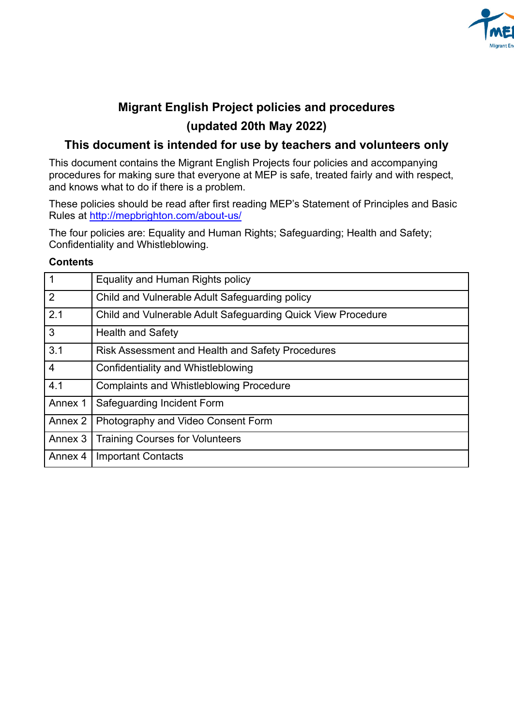

# **Migrant English Project policies and procedures (updated 20th May 2022)**

## **This document is intended for use by teachers and volunteers only**

This document contains the Migrant English Projects four policies and accompanying procedures for making sure that everyone at MEP is safe, treated fairly and with respect, and knows what to do if there is a problem.

These policies should be read after first reading MEP's Statement of Principles and Basic Rules at <http://mepbrighton.com/about-us/>

The four policies are: Equality and Human Rights; Safeguarding; Health and Safety; Confidentiality and Whistleblowing.

#### **Contents**

| $\vert$ 1      | Equality and Human Rights policy                             |
|----------------|--------------------------------------------------------------|
| $\overline{2}$ | Child and Vulnerable Adult Safeguarding policy               |
| 2.1            | Child and Vulnerable Adult Safeguarding Quick View Procedure |
| 3              | <b>Health and Safety</b>                                     |
| 3.1            | <b>Risk Assessment and Health and Safety Procedures</b>      |
| $\overline{4}$ | Confidentiality and Whistleblowing                           |
| 4.1            | <b>Complaints and Whistleblowing Procedure</b>               |
| Annex 1        | Safeguarding Incident Form                                   |
| Annex 2        | Photography and Video Consent Form                           |
| Annex 3        | <b>Training Courses for Volunteers</b>                       |
| Annex 4        | <b>Important Contacts</b>                                    |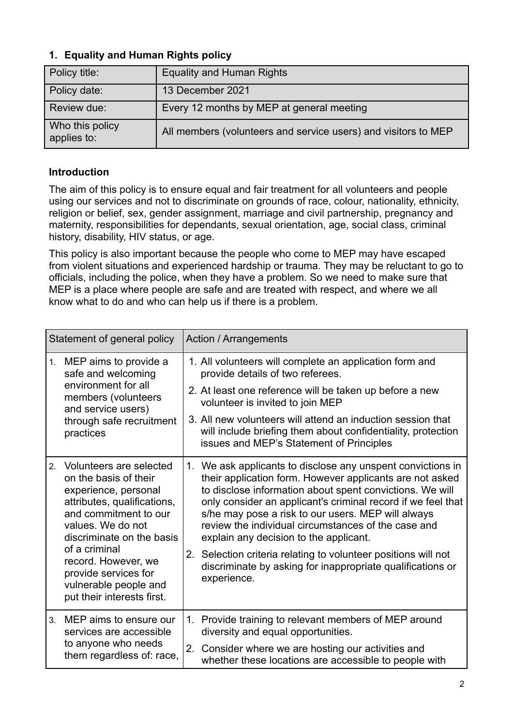## **1. Equality and Human Rights policy**

| Policy title:                  | <b>Equality and Human Rights</b>                               |
|--------------------------------|----------------------------------------------------------------|
| Policy date:                   | 13 December 2021                                               |
| Review due:                    | Every 12 months by MEP at general meeting                      |
| Who this policy<br>applies to: | All members (volunteers and service users) and visitors to MEP |

## **Introduction**

The aim of this policy is to ensure equal and fair treatment for all volunteers and people using our services and not to discriminate on grounds of race, colour, nationality, ethnicity, religion or belief, sex, gender assignment, marriage and civil partnership, pregnancy and maternity, responsibilities for dependants, sexual orientation, age, social class, criminal history, disability, HIV status, or age.

This policy is also important because the people who come to MEP may have escaped from violent situations and experienced hardship or trauma. They may be reluctant to go to officials, including the police, when they have a problem. So we need to make sure that MEP is a place where people are safe and are treated with respect, and where we all know what to do and who can help us if there is a problem.

| Statement of general policy |                                                                                                                                                                                                                                                    |    | <b>Action / Arrangements</b>                                                                                                                                                                                                                                                                                                                                                                                                                                                                                                            |
|-----------------------------|----------------------------------------------------------------------------------------------------------------------------------------------------------------------------------------------------------------------------------------------------|----|-----------------------------------------------------------------------------------------------------------------------------------------------------------------------------------------------------------------------------------------------------------------------------------------------------------------------------------------------------------------------------------------------------------------------------------------------------------------------------------------------------------------------------------------|
|                             | 1. MEP aims to provide a<br>safe and welcoming                                                                                                                                                                                                     |    | 1. All volunteers will complete an application form and<br>provide details of two referees.                                                                                                                                                                                                                                                                                                                                                                                                                                             |
|                             | environment for all<br>members (volunteers<br>and service users)                                                                                                                                                                                   |    | 2. At least one reference will be taken up before a new<br>volunteer is invited to join MEP                                                                                                                                                                                                                                                                                                                                                                                                                                             |
|                             | through safe recruitment<br>practices                                                                                                                                                                                                              |    | 3. All new volunteers will attend an induction session that<br>will include briefing them about confidentiality, protection<br>issues and MEP's Statement of Principles                                                                                                                                                                                                                                                                                                                                                                 |
| 2.                          | Volunteers are selected<br>on the basis of their<br>experience, personal<br>attributes, qualifications,<br>and commitment to our<br>values. We do not<br>discriminate on the basis<br>of a criminal<br>record. However, we<br>provide services for | 2. | 1. We ask applicants to disclose any unspent convictions in<br>their application form. However applicants are not asked<br>to disclose information about spent convictions. We will<br>only consider an applicant's criminal record if we feel that<br>s/he may pose a risk to our users. MEP will always<br>review the individual circumstances of the case and<br>explain any decision to the applicant.<br>Selection criteria relating to volunteer positions will not<br>discriminate by asking for inappropriate qualifications or |
|                             | vulnerable people and<br>put their interests first.                                                                                                                                                                                                |    | experience.                                                                                                                                                                                                                                                                                                                                                                                                                                                                                                                             |
| 3 <sub>1</sub>              | MEP aims to ensure our<br>services are accessible<br>to anyone who needs<br>them regardless of: race,                                                                                                                                              |    | 1. Provide training to relevant members of MEP around<br>diversity and equal opportunities.                                                                                                                                                                                                                                                                                                                                                                                                                                             |
|                             |                                                                                                                                                                                                                                                    | 2. | Consider where we are hosting our activities and<br>whether these locations are accessible to people with                                                                                                                                                                                                                                                                                                                                                                                                                               |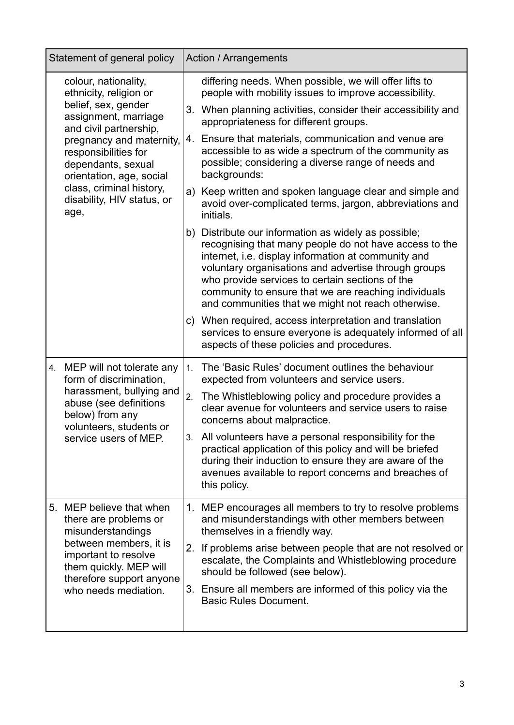| Statement of general policy                                                                          | <b>Action / Arrangements</b>                                                                                                                                                                                                                                                                                                                                                                   |
|------------------------------------------------------------------------------------------------------|------------------------------------------------------------------------------------------------------------------------------------------------------------------------------------------------------------------------------------------------------------------------------------------------------------------------------------------------------------------------------------------------|
| colour, nationality,<br>ethnicity, religion or                                                       | differing needs. When possible, we will offer lifts to<br>people with mobility issues to improve accessibility.                                                                                                                                                                                                                                                                                |
| belief, sex, gender<br>assignment, marriage<br>and civil partnership,                                | 3. When planning activities, consider their accessibility and<br>appropriateness for different groups.                                                                                                                                                                                                                                                                                         |
| pregnancy and maternity,<br>responsibilities for<br>dependants, sexual<br>orientation, age, social   | 4. Ensure that materials, communication and venue are<br>accessible to as wide a spectrum of the community as<br>possible; considering a diverse range of needs and<br>backgrounds:                                                                                                                                                                                                            |
| class, criminal history,<br>disability, HIV status, or<br>age,                                       | a) Keep written and spoken language clear and simple and<br>avoid over-complicated terms, jargon, abbreviations and<br>initials.                                                                                                                                                                                                                                                               |
|                                                                                                      | b) Distribute our information as widely as possible;<br>recognising that many people do not have access to the<br>internet, i.e. display information at community and<br>voluntary organisations and advertise through groups<br>who provide services to certain sections of the<br>community to ensure that we are reaching individuals<br>and communities that we might not reach otherwise. |
|                                                                                                      | c) When required, access interpretation and translation<br>services to ensure everyone is adequately informed of all<br>aspects of these policies and procedures.                                                                                                                                                                                                                              |
| 4. MEP will not tolerate any<br>form of discrimination,                                              | The 'Basic Rules' document outlines the behaviour<br>1.<br>expected from volunteers and service users.                                                                                                                                                                                                                                                                                         |
| harassment, bullying and<br>abuse (see definitions<br>below) from any<br>volunteers, students or     | The Whistleblowing policy and procedure provides a<br>2.<br>clear avenue for volunteers and service users to raise<br>concerns about malpractice.                                                                                                                                                                                                                                              |
| service users of MEP.                                                                                | 3. All volunteers have a personal responsibility for the<br>practical application of this policy and will be briefed<br>during their induction to ensure they are aware of the<br>avenues available to report concerns and breaches of<br>this policy.                                                                                                                                         |
| 5.<br>MEP believe that when<br>there are problems or<br>misunderstandings                            | 1. MEP encourages all members to try to resolve problems<br>and misunderstandings with other members between<br>themselves in a friendly way.                                                                                                                                                                                                                                                  |
| between members, it is<br>important to resolve<br>them quickly. MEP will<br>therefore support anyone | 2. If problems arise between people that are not resolved or<br>escalate, the Complaints and Whistleblowing procedure<br>should be followed (see below).                                                                                                                                                                                                                                       |
| who needs mediation.                                                                                 | 3. Ensure all members are informed of this policy via the<br><b>Basic Rules Document.</b>                                                                                                                                                                                                                                                                                                      |
|                                                                                                      |                                                                                                                                                                                                                                                                                                                                                                                                |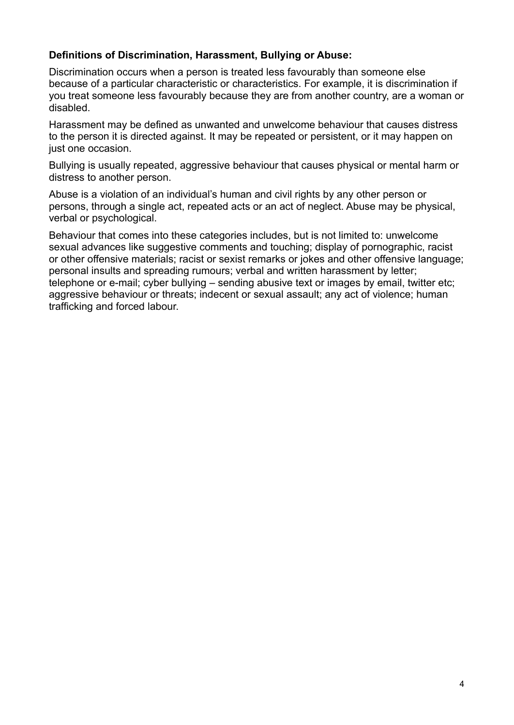#### **Definitions of Discrimination, Harassment, Bullying or Abuse:**

Discrimination occurs when a person is treated less favourably than someone else because of a particular characteristic or characteristics. For example, it is discrimination if you treat someone less favourably because they are from another country, are a woman or disabled.

Harassment may be defined as unwanted and unwelcome behaviour that causes distress to the person it is directed against. It may be repeated or persistent, or it may happen on just one occasion.

Bullying is usually repeated, aggressive behaviour that causes physical or mental harm or distress to another person.

Abuse is a violation of an individual's human and civil rights by any other person or persons, through a single act, repeated acts or an act of neglect. Abuse may be physical, verbal or psychological.

Behaviour that comes into these categories includes, but is not limited to: unwelcome sexual advances like suggestive comments and touching; display of pornographic, racist or other offensive materials; racist or sexist remarks or jokes and other offensive language; personal insults and spreading rumours; verbal and written harassment by letter; telephone or e-mail; cyber bullying – sending abusive text or images by email, twitter etc; aggressive behaviour or threats; indecent or sexual assault; any act of violence; human trafficking and forced labour.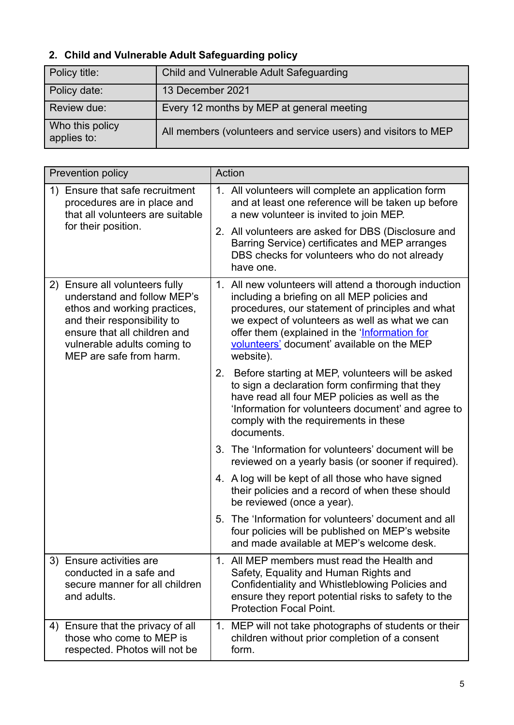# **2. Child and Vulnerable Adult Safeguarding policy**

| Policy title:                  | Child and Vulnerable Adult Safeguarding                        |
|--------------------------------|----------------------------------------------------------------|
| Policy date:                   | 13 December 2021                                               |
| Review due:                    | Every 12 months by MEP at general meeting                      |
| Who this policy<br>applies to: | All members (volunteers and service users) and visitors to MEP |

| Prevention policy                                                                                                                                                                                                         | Action                                                                                                                                                                                                                                                                                                                   |
|---------------------------------------------------------------------------------------------------------------------------------------------------------------------------------------------------------------------------|--------------------------------------------------------------------------------------------------------------------------------------------------------------------------------------------------------------------------------------------------------------------------------------------------------------------------|
| 1) Ensure that safe recruitment<br>procedures are in place and<br>that all volunteers are suitable                                                                                                                        | 1. All volunteers will complete an application form<br>and at least one reference will be taken up before<br>a new volunteer is invited to join MEP.                                                                                                                                                                     |
| for their position.                                                                                                                                                                                                       | 2. All volunteers are asked for DBS (Disclosure and<br>Barring Service) certificates and MEP arranges<br>DBS checks for volunteers who do not already<br>have one.                                                                                                                                                       |
| Ensure all volunteers fully<br>2)<br>understand and follow MEP's<br>ethos and working practices,<br>and their responsibility to<br>ensure that all children and<br>vulnerable adults coming to<br>MEP are safe from harm. | 1. All new volunteers will attend a thorough induction<br>including a briefing on all MEP policies and<br>procedures, our statement of principles and what<br>we expect of volunteers as well as what we can<br>offer them (explained in the 'Information for<br>volunteers' document' available on the MEP<br>website). |
|                                                                                                                                                                                                                           | 2. Before starting at MEP, volunteers will be asked<br>to sign a declaration form confirming that they<br>have read all four MEP policies as well as the<br>'Information for volunteers document' and agree to<br>comply with the requirements in these<br>documents.                                                    |
|                                                                                                                                                                                                                           | 3. The 'Information for volunteers' document will be<br>reviewed on a yearly basis (or sooner if required).                                                                                                                                                                                                              |
|                                                                                                                                                                                                                           | 4. A log will be kept of all those who have signed<br>their policies and a record of when these should<br>be reviewed (once a year).                                                                                                                                                                                     |
|                                                                                                                                                                                                                           | The 'Information for volunteers' document and all<br>5.<br>four policies will be published on MEP's website<br>and made available at MEP's welcome desk.                                                                                                                                                                 |
| 3) Ensure activities are<br>conducted in a safe and<br>secure manner for all children<br>and adults.                                                                                                                      | 1. All MEP members must read the Health and<br>Safety, Equality and Human Rights and<br>Confidentiality and Whistleblowing Policies and<br>ensure they report potential risks to safety to the<br><b>Protection Focal Point.</b>                                                                                         |
| Ensure that the privacy of all<br>4)<br>those who come to MEP is<br>respected. Photos will not be                                                                                                                         | 1. MEP will not take photographs of students or their<br>children without prior completion of a consent<br>form.                                                                                                                                                                                                         |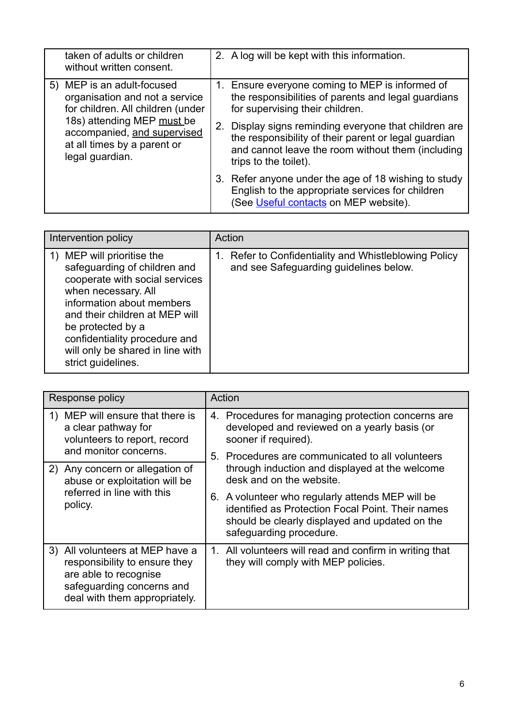| taken of adults or children<br>without written consent.                                                     | 2. A log will be kept with this information.                                                                                                                                             |
|-------------------------------------------------------------------------------------------------------------|------------------------------------------------------------------------------------------------------------------------------------------------------------------------------------------|
| 5) MEP is an adult-focused<br>organisation and not a service<br>for children. All children (under           | 1. Ensure everyone coming to MEP is informed of<br>the responsibilities of parents and legal guardians<br>for supervising their children.                                                |
| 18s) attending MEP must be<br>accompanied, and supervised<br>at all times by a parent or<br>legal guardian. | Display signs reminding everyone that children are<br>the responsibility of their parent or legal guardian<br>and cannot leave the room without them (including<br>trips to the toilet). |
|                                                                                                             | 3. Refer anyone under the age of 18 wishing to study<br>English to the appropriate services for children<br>(See Useful contacts on MEP website).                                        |

| Intervention policy                                                                                                                                                                                                                                                                                | Action                                                                                       |
|----------------------------------------------------------------------------------------------------------------------------------------------------------------------------------------------------------------------------------------------------------------------------------------------------|----------------------------------------------------------------------------------------------|
| 1) MEP will prioritise the<br>safeguarding of children and<br>cooperate with social services<br>when necessary. All<br>information about members<br>and their children at MEP will<br>be protected by a<br>confidentiality procedure and<br>will only be shared in line with<br>strict guidelines. | Refer to Confidentiality and Whistleblowing Policy<br>and see Safeguarding guidelines below. |

| Response policy                                                                                                                                         | Action                                                                                                                                                                                |
|---------------------------------------------------------------------------------------------------------------------------------------------------------|---------------------------------------------------------------------------------------------------------------------------------------------------------------------------------------|
| MEP will ensure that there is<br>1)<br>a clear pathway for<br>volunteers to report, record                                                              | 4. Procedures for managing protection concerns are<br>developed and reviewed on a yearly basis (or<br>sooner if required).                                                            |
| and monitor concerns.<br>2) Any concern or allegation of                                                                                                | Procedures are communicated to all volunteers<br>5.<br>through induction and displayed at the welcome<br>desk and on the website.                                                     |
| abuse or exploitation will be<br>referred in line with this<br>policy.                                                                                  | A volunteer who regularly attends MEP will be<br>6.<br>identified as Protection Focal Point. Their names<br>should be clearly displayed and updated on the<br>safeguarding procedure. |
| 3) All volunteers at MEP have a<br>responsibility to ensure they<br>are able to recognise<br>safeguarding concerns and<br>deal with them appropriately. | 1. All volunteers will read and confirm in writing that<br>they will comply with MEP policies.                                                                                        |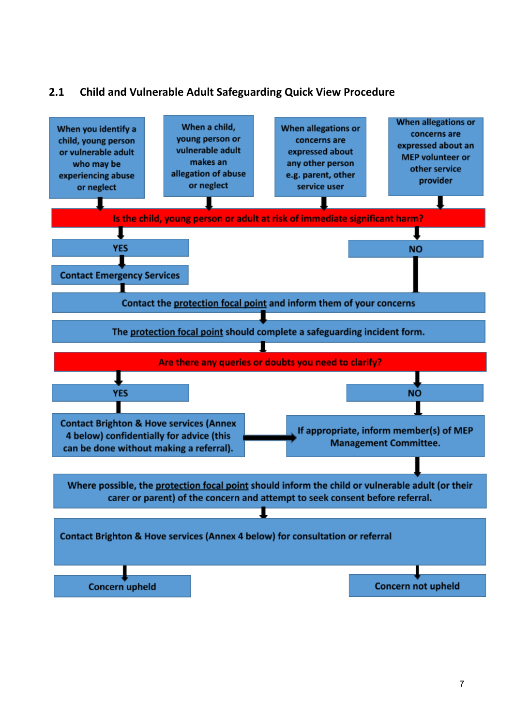## **2.1 Child and Vulnerable Adult Safeguarding Quick View Procedure**

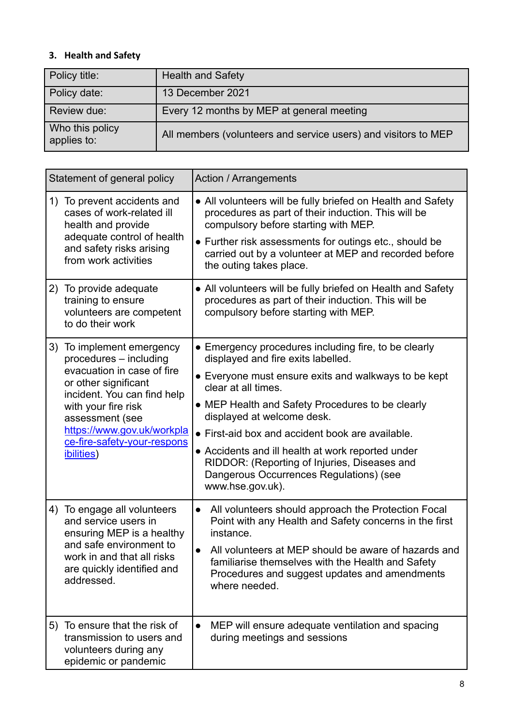## **3. Health and Safety**

| Policy title:                  | <b>Health and Safety</b>                                       |
|--------------------------------|----------------------------------------------------------------|
| Policy date:                   | 13 December 2021                                               |
| Review due:                    | Every 12 months by MEP at general meeting                      |
| Who this policy<br>applies to: | All members (volunteers and service users) and visitors to MEP |

| Statement of general policy                                                                                                                                                                                                                                           | <b>Action / Arrangements</b>                                                                                                                                                                                                                                                                                                                                                                                                                                                        |
|-----------------------------------------------------------------------------------------------------------------------------------------------------------------------------------------------------------------------------------------------------------------------|-------------------------------------------------------------------------------------------------------------------------------------------------------------------------------------------------------------------------------------------------------------------------------------------------------------------------------------------------------------------------------------------------------------------------------------------------------------------------------------|
| 1) To prevent accidents and<br>cases of work-related ill<br>health and provide<br>adequate control of health<br>and safety risks arising<br>from work activities                                                                                                      | • All volunteers will be fully briefed on Health and Safety<br>procedures as part of their induction. This will be<br>compulsory before starting with MEP.<br>• Further risk assessments for outings etc., should be<br>carried out by a volunteer at MEP and recorded before<br>the outing takes place.                                                                                                                                                                            |
| 2) To provide adequate<br>training to ensure<br>volunteers are competent<br>to do their work                                                                                                                                                                          | • All volunteers will be fully briefed on Health and Safety<br>procedures as part of their induction. This will be<br>compulsory before starting with MEP.                                                                                                                                                                                                                                                                                                                          |
| 3) To implement emergency<br>procedures - including<br>evacuation in case of fire<br>or other significant<br>incident. You can find help<br>with your fire risk<br>assessment (see<br>https://www.gov.uk/workpla<br>ce-fire-safety-your-respons<br><i>ibilities</i> ) | • Emergency procedures including fire, to be clearly<br>displayed and fire exits labelled.<br>• Everyone must ensure exits and walkways to be kept<br>clear at all times.<br>• MEP Health and Safety Procedures to be clearly<br>displayed at welcome desk.<br>• First-aid box and accident book are available.<br>• Accidents and ill health at work reported under<br>RIDDOR: (Reporting of Injuries, Diseases and<br>Dangerous Occurrences Regulations) (see<br>www.hse.gov.uk). |
| 4) To engage all volunteers<br>and service users in<br>ensuring MEP is a healthy<br>and safe environment to<br>work in and that all risks<br>are quickly identified and<br>addressed.                                                                                 | All volunteers should approach the Protection Focal<br>$\bullet$<br>Point with any Health and Safety concerns in the first<br>instance.<br>All volunteers at MEP should be aware of hazards and<br>$\bullet$<br>familiarise themselves with the Health and Safety<br>Procedures and suggest updates and amendments<br>where needed.                                                                                                                                                 |
| 5) To ensure that the risk of<br>transmission to users and<br>volunteers during any<br>epidemic or pandemic                                                                                                                                                           | MEP will ensure adequate ventilation and spacing<br>$\bullet$<br>during meetings and sessions                                                                                                                                                                                                                                                                                                                                                                                       |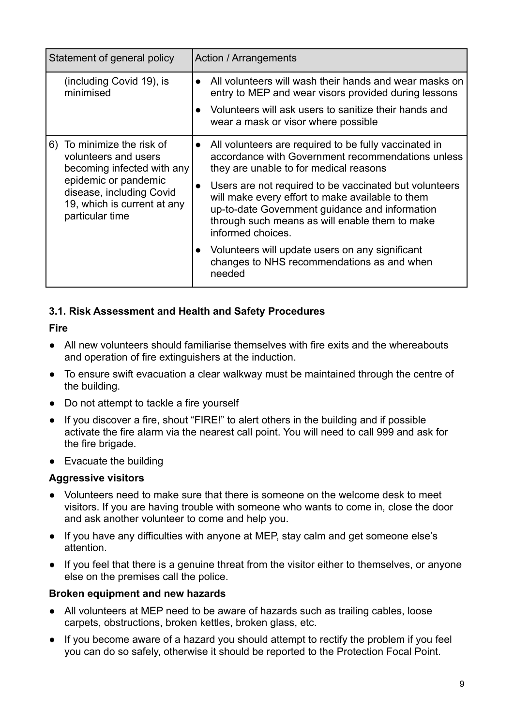| Statement of general policy |                                                                                                                                                                                                  | Action / Arrangements                                                                                                                                                                                                               |
|-----------------------------|--------------------------------------------------------------------------------------------------------------------------------------------------------------------------------------------------|-------------------------------------------------------------------------------------------------------------------------------------------------------------------------------------------------------------------------------------|
|                             | (including Covid 19), is<br>minimised                                                                                                                                                            | All volunteers will wash their hands and wear masks on<br>entry to MEP and wear visors provided during lessons<br>Volunteers will ask users to sanitize their hands and<br>wear a mask or visor where possible                      |
|                             |                                                                                                                                                                                                  |                                                                                                                                                                                                                                     |
| 6)                          | To minimize the risk of<br>$\bullet$<br>volunteers and users<br>becoming infected with any<br>epidemic or pandemic<br>disease, including Covid<br>19, which is current at any<br>particular time | All volunteers are required to be fully vaccinated in<br>accordance with Government recommendations unless<br>they are unable to for medical reasons                                                                                |
|                             |                                                                                                                                                                                                  | Users are not required to be vaccinated but volunteers<br>will make every effort to make available to them<br>up-to-date Government guidance and information<br>through such means as will enable them to make<br>informed choices. |
|                             |                                                                                                                                                                                                  | Volunteers will update users on any significant<br>changes to NHS recommendations as and when<br>needed                                                                                                                             |

## **3.1. Risk Assessment and Health and Safety Procedures**

#### **Fire**

- All new volunteers should familiarise themselves with fire exits and the whereabouts and operation of fire extinguishers at the induction.
- To ensure swift evacuation a clear walkway must be maintained through the centre of the building.
- Do not attempt to tackle a fire yourself
- If you discover a fire, shout "FIRE!" to alert others in the building and if possible activate the fire alarm via the nearest call point. You will need to call 999 and ask for the fire brigade.
- Evacuate the building

#### **Aggressive visitors**

- Volunteers need to make sure that there is someone on the welcome desk to meet visitors. If you are having trouble with someone who wants to come in, close the door and ask another volunteer to come and help you.
- If you have any difficulties with anyone at MEP, stay calm and get someone else's attention.
- If you feel that there is a genuine threat from the visitor either to themselves, or anyone else on the premises call the police.

#### **Broken equipment and new hazards**

- All volunteers at MEP need to be aware of hazards such as trailing cables, loose carpets, obstructions, broken kettles, broken glass, etc.
- If you become aware of a hazard you should attempt to rectify the problem if you feel you can do so safely, otherwise it should be reported to the Protection Focal Point.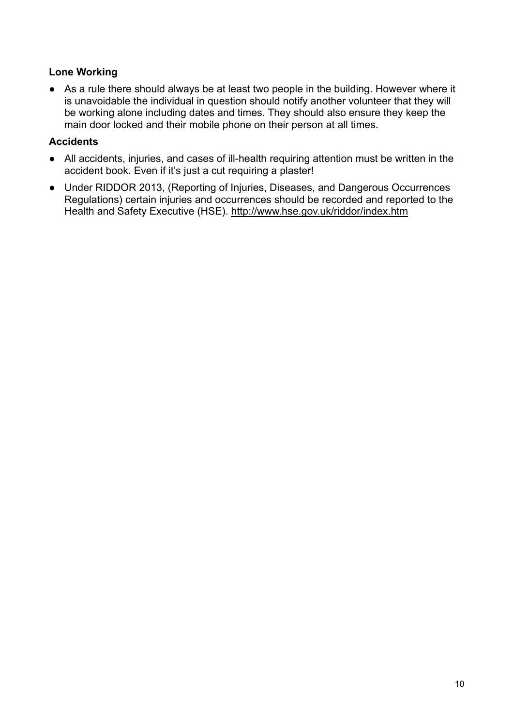### **Lone Working**

● As a rule there should always be at least two people in the building. However where it is unavoidable the individual in question should notify another volunteer that they will be working alone including dates and times. They should also ensure they keep the main door locked and their mobile phone on their person at all times.

## **Accidents**

- All accidents, injuries, and cases of ill-health requiring attention must be written in the accident book. Even if it's just a cut requiring a plaster!
- Under RIDDOR 2013, (Reporting of Injuries, Diseases, and Dangerous Occurrences Regulations) certain injuries and occurrences should be recorded and reported to the Health and Safety Executive (HSE). <http://www.hse.gov.uk/riddor/index.htm>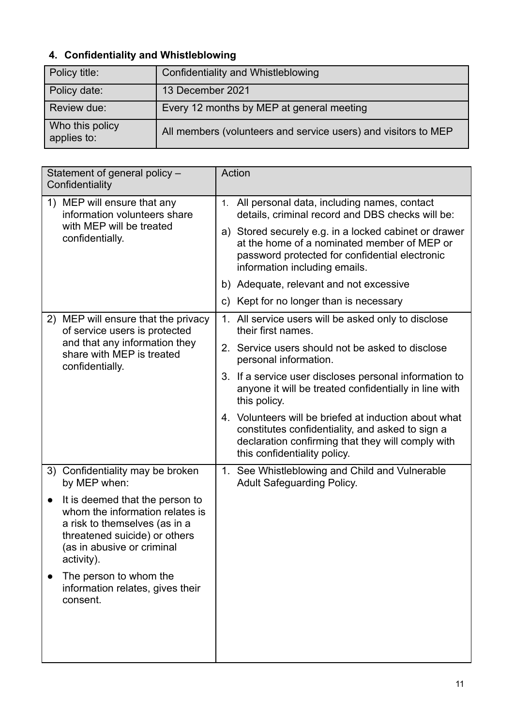## **4. Confidentiality and Whistleblowing**

| Policy title:                  | <b>Confidentiality and Whistleblowing</b>                      |
|--------------------------------|----------------------------------------------------------------|
| Policy date:                   | 13 December 2021                                               |
| Review due:                    | Every 12 months by MEP at general meeting                      |
| Who this policy<br>applies to: | All members (volunteers and service users) and visitors to MEP |

| Statement of general policy -<br>Confidentiality                                                                                                                                              | Action                                                                                                                                                                                         |  |  |
|-----------------------------------------------------------------------------------------------------------------------------------------------------------------------------------------------|------------------------------------------------------------------------------------------------------------------------------------------------------------------------------------------------|--|--|
| 1) MEP will ensure that any<br>information volunteers share                                                                                                                                   | All personal data, including names, contact<br>1.<br>details, criminal record and DBS checks will be:                                                                                          |  |  |
| with MEP will be treated<br>confidentially.                                                                                                                                                   | a) Stored securely e.g. in a locked cabinet or drawer<br>at the home of a nominated member of MEP or<br>password protected for confidential electronic<br>information including emails.        |  |  |
|                                                                                                                                                                                               | b) Adequate, relevant and not excessive                                                                                                                                                        |  |  |
|                                                                                                                                                                                               | c) Kept for no longer than is necessary                                                                                                                                                        |  |  |
| 2) MEP will ensure that the privacy<br>of service users is protected<br>and that any information they<br>share with MEP is treated<br>confidentially.                                         | All service users will be asked only to disclose<br>1.<br>their first names.                                                                                                                   |  |  |
|                                                                                                                                                                                               | 2. Service users should not be asked to disclose<br>personal information.                                                                                                                      |  |  |
|                                                                                                                                                                                               | 3. If a service user discloses personal information to<br>anyone it will be treated confidentially in line with<br>this policy.                                                                |  |  |
|                                                                                                                                                                                               | 4. Volunteers will be briefed at induction about what<br>constitutes confidentiality, and asked to sign a<br>declaration confirming that they will comply with<br>this confidentiality policy. |  |  |
| 3) Confidentiality may be broken<br>by MEP when:                                                                                                                                              | 1. See Whistleblowing and Child and Vulnerable<br><b>Adult Safeguarding Policy.</b>                                                                                                            |  |  |
| It is deemed that the person to<br>$\bullet$<br>whom the information relates is<br>a risk to themselves (as in a<br>threatened suicide) or others<br>(as in abusive or criminal<br>activity). |                                                                                                                                                                                                |  |  |
| The person to whom the<br>information relates, gives their<br>consent.                                                                                                                        |                                                                                                                                                                                                |  |  |
|                                                                                                                                                                                               |                                                                                                                                                                                                |  |  |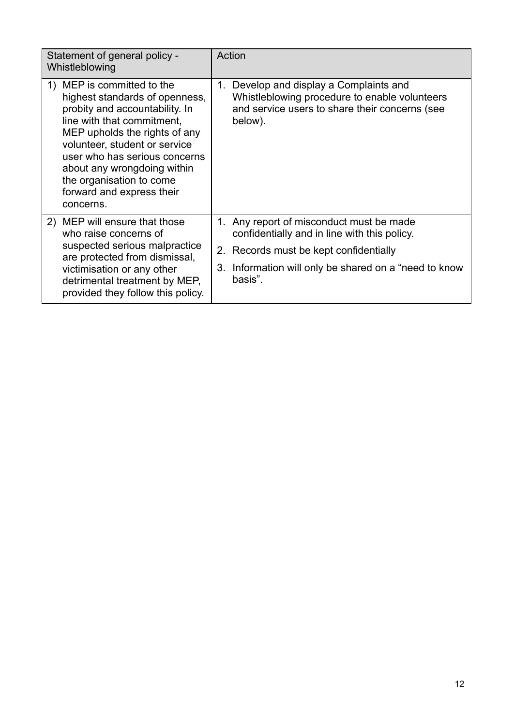| Statement of general policy -<br>Whistleblowing                                                                                                                                                                                                                                                                                      | Action                                                                                                                                                                                                    |  |  |
|--------------------------------------------------------------------------------------------------------------------------------------------------------------------------------------------------------------------------------------------------------------------------------------------------------------------------------------|-----------------------------------------------------------------------------------------------------------------------------------------------------------------------------------------------------------|--|--|
| 1) MEP is committed to the<br>highest standards of openness,<br>probity and accountability. In<br>line with that commitment,<br>MEP upholds the rights of any<br>volunteer, student or service<br>user who has serious concerns<br>about any wrongdoing within<br>the organisation to come<br>forward and express their<br>concerns. | 1.<br>Develop and display a Complaints and<br>Whistleblowing procedure to enable volunteers<br>and service users to share their concerns (see<br>below).                                                  |  |  |
| 2) MEP will ensure that those<br>who raise concerns of<br>suspected serious malpractice<br>are protected from dismissal,<br>victimisation or any other<br>detrimental treatment by MEP,<br>provided they follow this policy.                                                                                                         | 1. Any report of misconduct must be made<br>confidentially and in line with this policy.<br>2. Records must be kept confidentially<br>Information will only be shared on a "need to know<br>3.<br>basis". |  |  |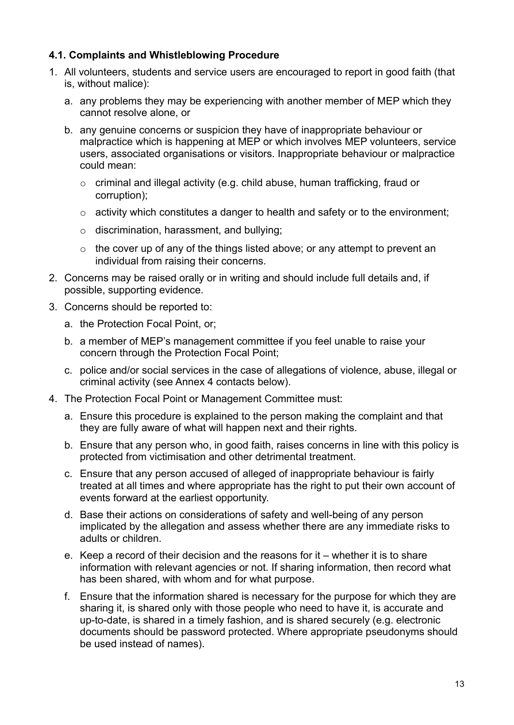## **4.1. Complaints and Whistleblowing Procedure**

- 1. All volunteers, students and service users are encouraged to report in good faith (that is, without malice):
	- a. any problems they may be experiencing with another member of MEP which they cannot resolve alone, or
	- b. any genuine concerns or suspicion they have of inappropriate behaviour or malpractice which is happening at MEP or which involves MEP volunteers, service users, associated organisations or visitors. Inappropriate behaviour or malpractice could mean:
		- o criminal and illegal activity (e.g. child abuse, human trafficking, fraud or corruption);
		- o activity which constitutes a danger to health and safety or to the environment;
		- o discrimination, harassment, and bullying;
		- $\circ$  the cover up of any of the things listed above; or any attempt to prevent an individual from raising their concerns.
- 2. Concerns may be raised orally or in writing and should include full details and, if possible, supporting evidence.
- 3. Concerns should be reported to:
	- a. the Protection Focal Point, or;
	- b. a member of MEP's management committee if you feel unable to raise your concern through the Protection Focal Point;
	- c. police and/or social services in the case of allegations of violence, abuse, illegal or criminal activity (see Annex 4 contacts below).
- 4. The Protection Focal Point or Management Committee must:
	- a. Ensure this procedure is explained to the person making the complaint and that they are fully aware of what will happen next and their rights.
	- b. Ensure that any person who, in good faith, raises concerns in line with this policy is protected from victimisation and other detrimental treatment.
	- c. Ensure that any person accused of alleged of inappropriate behaviour is fairly treated at all times and where appropriate has the right to put their own account of events forward at the earliest opportunity.
	- d. Base their actions on considerations of safety and well-being of any person implicated by the allegation and assess whether there are any immediate risks to adults or children.
	- e. Keep a record of their decision and the reasons for it whether it is to share information with relevant agencies or not. If sharing information, then record what has been shared, with whom and for what purpose.
	- f. Ensure that the information shared is necessary for the purpose for which they are sharing it, is shared only with those people who need to have it, is accurate and up-to-date, is shared in a timely fashion, and is shared securely (e.g. electronic documents should be password protected. Where appropriate pseudonyms should be used instead of names).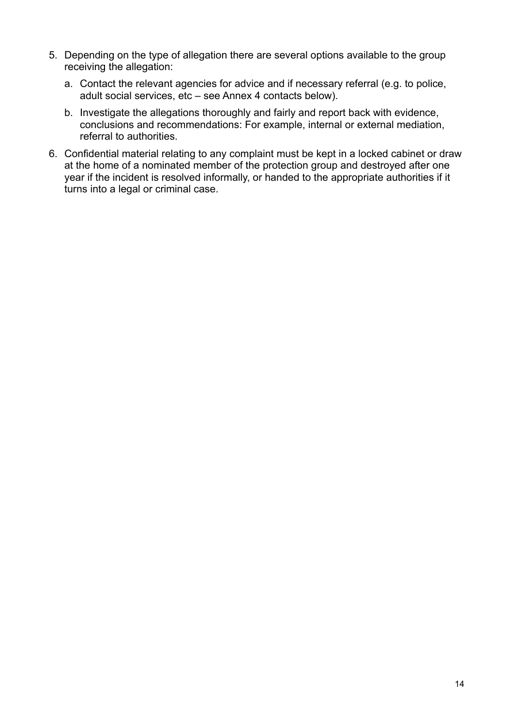- 5. Depending on the type of allegation there are several options available to the group receiving the allegation:
	- a. Contact the relevant agencies for advice and if necessary referral (e.g. to police, adult social services, etc – see Annex 4 contacts below).
	- b. Investigate the allegations thoroughly and fairly and report back with evidence, conclusions and recommendations: For example, internal or external mediation, referral to authorities.
- 6. Confidential material relating to any complaint must be kept in a locked cabinet or draw at the home of a nominated member of the protection group and destroyed after one year if the incident is resolved informally, or handed to the appropriate authorities if it turns into a legal or criminal case.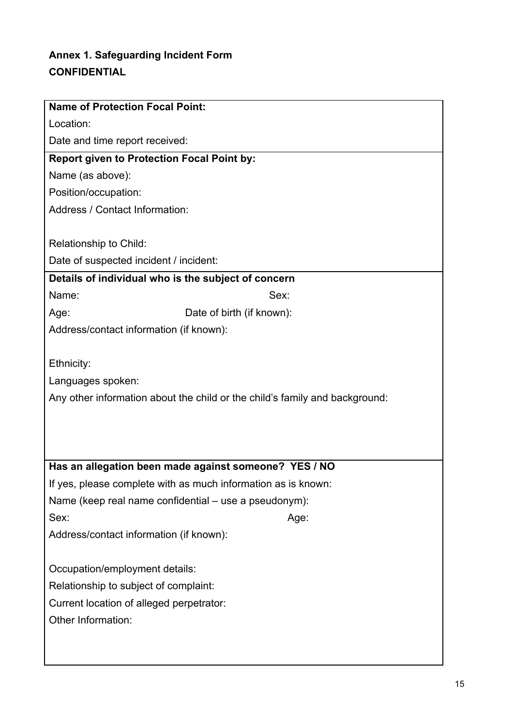# **Annex 1. Safeguarding Incident Form CONFIDENTIAL**

| <b>Name of Protection Focal Point:</b>                |                                                                             |  |  |  |
|-------------------------------------------------------|-----------------------------------------------------------------------------|--|--|--|
| Location:                                             |                                                                             |  |  |  |
| Date and time report received:                        |                                                                             |  |  |  |
| <b>Report given to Protection Focal Point by:</b>     |                                                                             |  |  |  |
| Name (as above):                                      |                                                                             |  |  |  |
| Position/occupation:                                  |                                                                             |  |  |  |
| Address / Contact Information:                        |                                                                             |  |  |  |
|                                                       |                                                                             |  |  |  |
| Relationship to Child:                                |                                                                             |  |  |  |
| Date of suspected incident / incident:                |                                                                             |  |  |  |
| Details of individual who is the subject of concern   |                                                                             |  |  |  |
| Name:                                                 | Sex:                                                                        |  |  |  |
| Age:                                                  | Date of birth (if known):                                                   |  |  |  |
| Address/contact information (if known):               |                                                                             |  |  |  |
|                                                       |                                                                             |  |  |  |
| Ethnicity:                                            |                                                                             |  |  |  |
| Languages spoken:                                     |                                                                             |  |  |  |
|                                                       | Any other information about the child or the child's family and background: |  |  |  |
|                                                       |                                                                             |  |  |  |
|                                                       |                                                                             |  |  |  |
|                                                       |                                                                             |  |  |  |
|                                                       | Has an allegation been made against someone? YES / NO                       |  |  |  |
|                                                       | If yes, please complete with as much information as is known:               |  |  |  |
| Name (keep real name confidential – use a pseudonym): |                                                                             |  |  |  |
| Sex:                                                  | Age:                                                                        |  |  |  |
| Address/contact information (if known):               |                                                                             |  |  |  |
|                                                       |                                                                             |  |  |  |
| Occupation/employment details:                        |                                                                             |  |  |  |
| Relationship to subject of complaint:                 |                                                                             |  |  |  |
| Current location of alleged perpetrator:              |                                                                             |  |  |  |
| Other Information:                                    |                                                                             |  |  |  |
|                                                       |                                                                             |  |  |  |
|                                                       |                                                                             |  |  |  |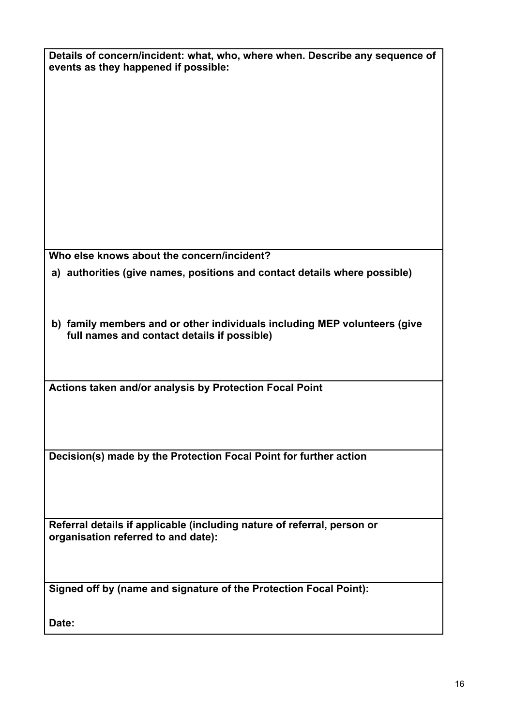| Details of concern/incident: what, who, where when. Describe any sequence of<br>events as they happened if possible:     |  |  |
|--------------------------------------------------------------------------------------------------------------------------|--|--|
|                                                                                                                          |  |  |
|                                                                                                                          |  |  |
|                                                                                                                          |  |  |
|                                                                                                                          |  |  |
|                                                                                                                          |  |  |
|                                                                                                                          |  |  |
| Who else knows about the concern/incident?                                                                               |  |  |
| a) authorities (give names, positions and contact details where possible)                                                |  |  |
| b) family members and or other individuals including MEP volunteers (give<br>full names and contact details if possible) |  |  |
|                                                                                                                          |  |  |
| Actions taken and/or analysis by Protection Focal Point                                                                  |  |  |
|                                                                                                                          |  |  |
| Decision(s) made by the Protection Focal Point for further action                                                        |  |  |
|                                                                                                                          |  |  |
| Referral details if applicable (including nature of referral, person or<br>organisation referred to and date):           |  |  |
|                                                                                                                          |  |  |
| Signed off by (name and signature of the Protection Focal Point):                                                        |  |  |
| Date:                                                                                                                    |  |  |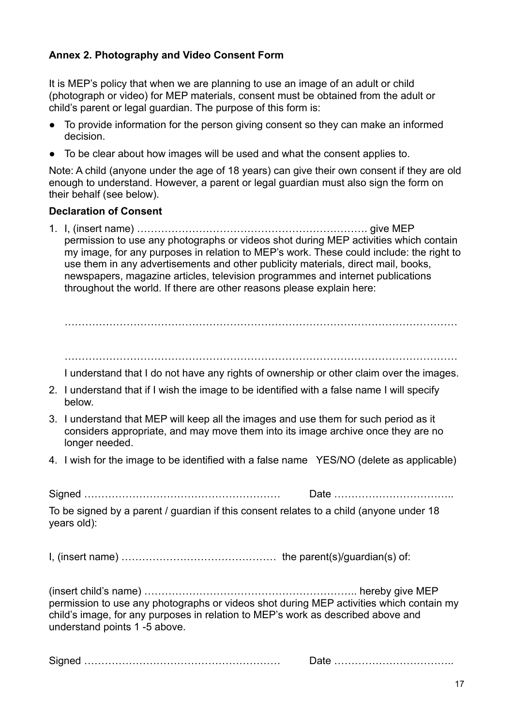## **Annex 2. Photography and Video Consent Form**

It is MEP's policy that when we are planning to use an image of an adult or child (photograph or video) for MEP materials, consent must be obtained from the adult or child's parent or legal guardian. The purpose of this form is:

- To provide information for the person giving consent so they can make an informed decision.
- To be clear about how images will be used and what the consent applies to.

Note: A child (anyone under the age of 18 years) can give their own consent if they are old enough to understand. However, a parent or legal guardian must also sign the form on their behalf (see below).

#### **Declaration of Consent**

1. I, (insert name) …………………………………………………………. give MEP permission to use any photographs or videos shot during MEP activities which contain my image, for any purposes in relation to MEP's work. These could include: the right to use them in any advertisements and other publicity materials, direct mail, books, newspapers, magazine articles, television programmes and internet publications throughout the world. If there are other reasons please explain here:

……………………………………………………………………………………………………

I understand that I do not have any rights of ownership or other claim over the images.

- 2. I understand that if I wish the image to be identified with a false name I will specify below.
- 3. I understand that MEP will keep all the images and use them for such period as it considers appropriate, and may move them into its image archive once they are no longer needed.
- 4. I wish for the image to be identified with a false name YES/NO (delete as applicable)

Signed ………………………………………………… Date ……………………………..

To be signed by a parent / guardian if this consent relates to a child (anyone under 18 years old):

I, (insert name) ……………………………………… the parent(s)/guardian(s) of:

(insert child's name) …………………………………………………….. hereby give MEP permission to use any photographs or videos shot during MEP activities which contain my child's image, for any purposes in relation to MEP's work as described above and understand points 1 -5 above.

Signed ………………………………………………… Date ……………………………..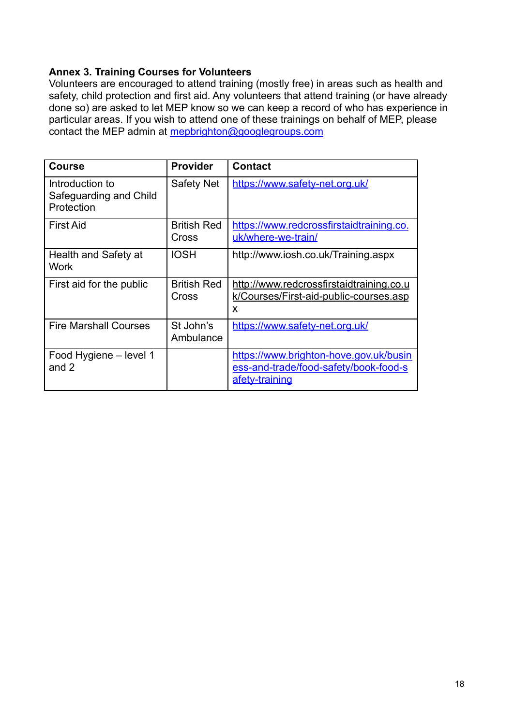## **Annex 3. Training Courses for Volunteers**

Volunteers are encouraged to attend training (mostly free) in areas such as health and safety, child protection and first aid. Any volunteers that attend training (or have already done so) are asked to let MEP know so we can keep a record of who has experience in particular areas. If you wish to attend one of these trainings on behalf of MEP, please contact the MEP admin at [mepbrighton@googlegroups.com](mailto:mepbrighton@googlegroups.com)

| <b>Course</b>                                           | <b>Provider</b>             | <b>Contact</b>                                                                                    |
|---------------------------------------------------------|-----------------------------|---------------------------------------------------------------------------------------------------|
| Introduction to<br>Safeguarding and Child<br>Protection | Safety Net                  | https://www.safety-net.org.uk/                                                                    |
| <b>First Aid</b>                                        | <b>British Red</b><br>Cross | https://www.redcrossfirstaidtraining.co.<br>uk/where-we-train/                                    |
| Health and Safety at<br><b>Work</b>                     | <b>IOSH</b>                 | http://www.iosh.co.uk/Training.aspx                                                               |
| First aid for the public                                | <b>British Red</b><br>Cross | http://www.redcrossfirstaidtraining.co.u<br>k/Courses/First-aid-public-courses.asp<br>x           |
| <b>Fire Marshall Courses</b>                            | St John's<br>Ambulance      | https://www.safety-net.org.uk/                                                                    |
| Food Hygiene - level 1<br>and 2                         |                             | https://www.brighton-hove.gov.uk/busin<br>ess-and-trade/food-safety/book-food-s<br>afety-training |